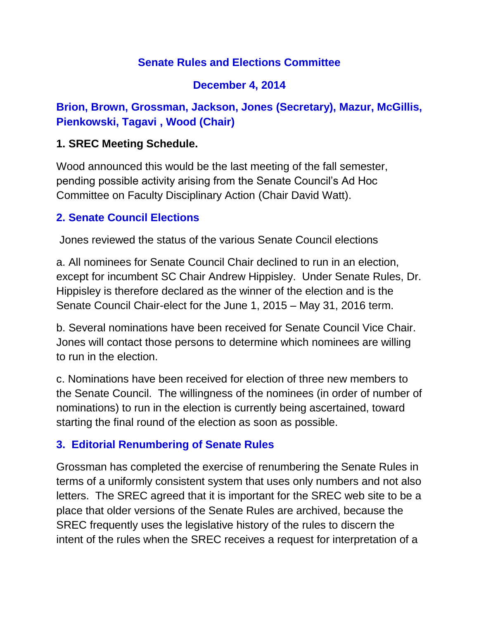### **Senate Rules and Elections Committee**

### **December 4, 2014**

# **Brion, Brown, Grossman, Jackson, Jones (Secretary), Mazur, McGillis, Pienkowski, Tagavi , Wood (Chair)**

#### **1. SREC Meeting Schedule.**

Wood announced this would be the last meeting of the fall semester, pending possible activity arising from the Senate Council's Ad Hoc Committee on Faculty Disciplinary Action (Chair David Watt).

### **2. Senate Council Elections**

Jones reviewed the status of the various Senate Council elections

a. All nominees for Senate Council Chair declined to run in an election, except for incumbent SC Chair Andrew Hippisley. Under Senate Rules, Dr. Hippisley is therefore declared as the winner of the election and is the Senate Council Chair-elect for the June 1, 2015 – May 31, 2016 term.

b. Several nominations have been received for Senate Council Vice Chair. Jones will contact those persons to determine which nominees are willing to run in the election.

c. Nominations have been received for election of three new members to the Senate Council. The willingness of the nominees (in order of number of nominations) to run in the election is currently being ascertained, toward starting the final round of the election as soon as possible.

#### **3. Editorial Renumbering of Senate Rules**

Grossman has completed the exercise of renumbering the Senate Rules in terms of a uniformly consistent system that uses only numbers and not also letters. The SREC agreed that it is important for the SREC web site to be a place that older versions of the Senate Rules are archived, because the SREC frequently uses the legislative history of the rules to discern the intent of the rules when the SREC receives a request for interpretation of a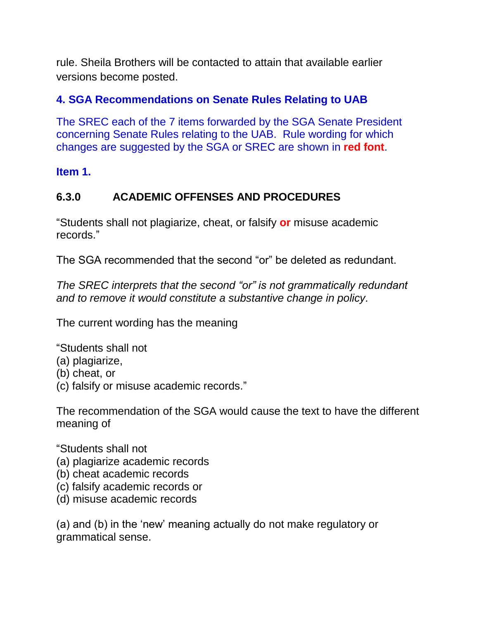rule. Sheila Brothers will be contacted to attain that available earlier versions become posted.

### **4. SGA Recommendations on Senate Rules Relating to UAB**

The SREC each of the 7 items forwarded by the SGA Senate President concerning Senate Rules relating to the UAB. Rule wording for which changes are suggested by the SGA or SREC are shown in **red font**.

**Item 1.** 

# **6.3.0 ACADEMIC OFFENSES AND PROCEDURES**

"Students shall not plagiarize, cheat, or falsify **or** misuse academic records."

The SGA recommended that the second "or" be deleted as redundant.

*The SREC interprets that the second "or" is not grammatically redundant and to remove it would constitute a substantive change in policy.* 

The current wording has the meaning

"Students shall not

- (a) plagiarize,
- (b) cheat, or
- (c) falsify or misuse academic records."

The recommendation of the SGA would cause the text to have the different meaning of

"Students shall not

- (a) plagiarize academic records
- (b) cheat academic records
- (c) falsify academic records or
- (d) misuse academic records

(a) and (b) in the 'new' meaning actually do not make regulatory or grammatical sense.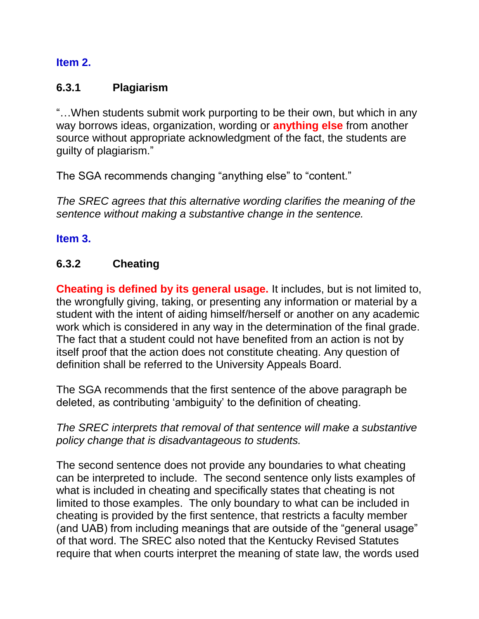#### **Item 2.**

### **6.3.1 Plagiarism**

"…When students submit work purporting to be their own, but which in any way borrows ideas, organization, wording or **anything else** from another source without appropriate acknowledgment of the fact, the students are guilty of plagiarism."

The SGA recommends changing "anything else" to "content."

*The SREC agrees that this alternative wording clarifies the meaning of the sentence without making a substantive change in the sentence.*

#### **Item 3.**

#### **6.3.2 Cheating**

**Cheating is defined by its general usage.** It includes, but is not limited to, the wrongfully giving, taking, or presenting any information or material by a student with the intent of aiding himself/herself or another on any academic work which is considered in any way in the determination of the final grade. The fact that a student could not have benefited from an action is not by itself proof that the action does not constitute cheating. Any question of definition shall be referred to the University Appeals Board.

The SGA recommends that the first sentence of the above paragraph be deleted, as contributing 'ambiguity' to the definition of cheating.

*The SREC interprets that removal of that sentence will make a substantive policy change that is disadvantageous to students.*

The second sentence does not provide any boundaries to what cheating can be interpreted to include. The second sentence only lists examples of what is included in cheating and specifically states that cheating is not limited to those examples. The only boundary to what can be included in cheating is provided by the first sentence, that restricts a faculty member (and UAB) from including meanings that are outside of the "general usage" of that word. The SREC also noted that the Kentucky Revised Statutes require that when courts interpret the meaning of state law, the words used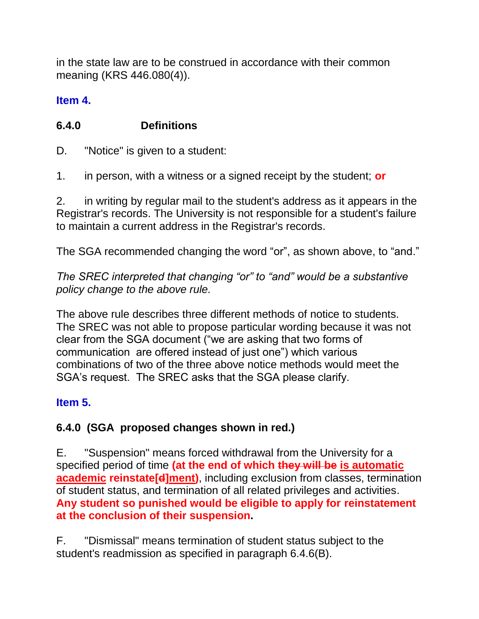in the state law are to be construed in accordance with their common meaning (KRS 446.080(4)).

### **Item 4.**

# **6.4.0 Definitions**

D. "Notice" is given to a student:

1. in person, with a witness or a signed receipt by the student; **or**

2. in writing by regular mail to the student's address as it appears in the Registrar's records. The University is not responsible for a student's failure to maintain a current address in the Registrar's records.

The SGA recommended changing the word "or", as shown above, to "and."

*The SREC interpreted that changing "or" to "and" would be a substantive policy change to the above rule.* 

The above rule describes three different methods of notice to students. The SREC was not able to propose particular wording because it was not clear from the SGA document ("we are asking that two forms of communication are offered instead of just one") which various combinations of two of the three above notice methods would meet the SGA's request. The SREC asks that the SGA please clarify.

# **Item 5.**

# **6.4.0 (SGA proposed changes shown in red.)**

E. "Suspension" means forced withdrawal from the University for a specified period of time **(at the end of which they will be is automatic academic reinstate[d]ment)**, including exclusion from classes, termination of student status, and termination of all related privileges and activities. **Any student so punished would be eligible to apply for reinstatement at the conclusion of their suspension.**

F. "Dismissal" means termination of student status subject to the student's readmission as specified in paragraph 6.4.6(B).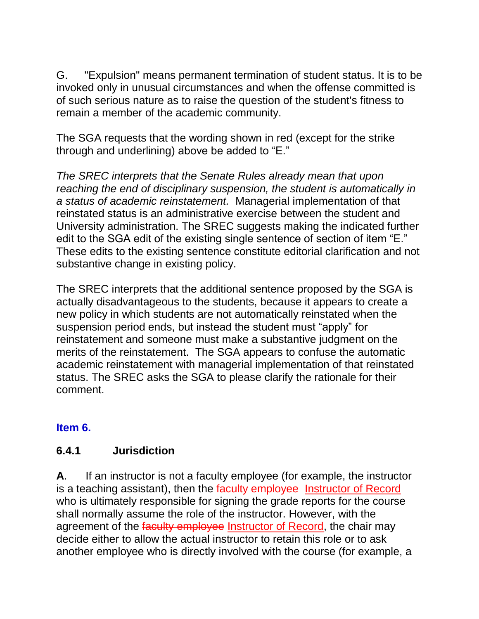G. "Expulsion" means permanent termination of student status. It is to be invoked only in unusual circumstances and when the offense committed is of such serious nature as to raise the question of the student's fitness to remain a member of the academic community.

The SGA requests that the wording shown in red (except for the strike through and underlining) above be added to "E."

*The SREC interprets that the Senate Rules already mean that upon reaching the end of disciplinary suspension, the student is automatically in a status of academic reinstatement.* Managerial implementation of that reinstated status is an administrative exercise between the student and University administration. The SREC suggests making the indicated further edit to the SGA edit of the existing single sentence of section of item "E." These edits to the existing sentence constitute editorial clarification and not substantive change in existing policy.

The SREC interprets that the additional sentence proposed by the SGA is actually disadvantageous to the students, because it appears to create a new policy in which students are not automatically reinstated when the suspension period ends, but instead the student must "apply" for reinstatement and someone must make a substantive judgment on the merits of the reinstatement. The SGA appears to confuse the automatic academic reinstatement with managerial implementation of that reinstated status. The SREC asks the SGA to please clarify the rationale for their comment.

#### **Item 6.**

#### **6.4.1 Jurisdiction**

**A**. If an instructor is not a faculty employee (for example, the instructor is a teaching assistant), then the faculty employee Instructor of Record who is ultimately responsible for signing the grade reports for the course shall normally assume the role of the instructor. However, with the agreement of the faculty employee Instructor of Record, the chair may decide either to allow the actual instructor to retain this role or to ask another employee who is directly involved with the course (for example, a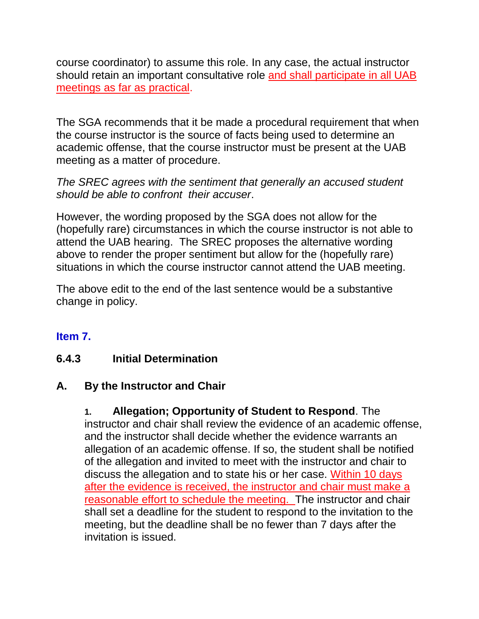course coordinator) to assume this role. In any case, the actual instructor should retain an important consultative role and shall participate in all UAB meetings as far as practical.

The SGA recommends that it be made a procedural requirement that when the course instructor is the source of facts being used to determine an academic offense, that the course instructor must be present at the UAB meeting as a matter of procedure.

*The SREC agrees with the sentiment that generally an accused student should be able to confront their accuser*.

However, the wording proposed by the SGA does not allow for the (hopefully rare) circumstances in which the course instructor is not able to attend the UAB hearing. The SREC proposes the alternative wording above to render the proper sentiment but allow for the (hopefully rare) situations in which the course instructor cannot attend the UAB meeting.

The above edit to the end of the last sentence would be a substantive change in policy.

#### **Item 7.**

#### **6.4.3 Initial Determination**

#### **A. By the Instructor and Chair**

# **1. Allegation; Opportunity of Student to Respond**. The

instructor and chair shall review the evidence of an academic offense, and the instructor shall decide whether the evidence warrants an allegation of an academic offense. If so, the student shall be notified of the allegation and invited to meet with the instructor and chair to discuss the allegation and to state his or her case. Within 10 days after the evidence is received, the instructor and chair must make a reasonable effort to schedule the meeting. The instructor and chair shall set a deadline for the student to respond to the invitation to the meeting, but the deadline shall be no fewer than 7 days after the invitation is issued.